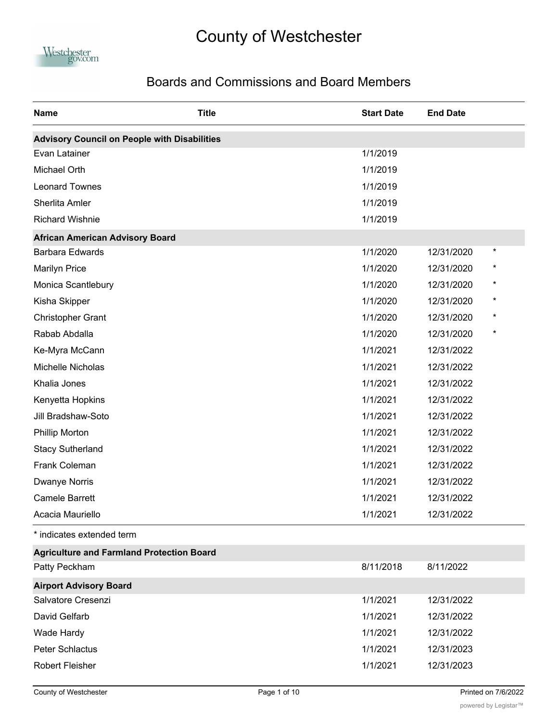## County of Westchester



## Boards and Commissions and Board Members

| <b>Name</b>                                         | <b>Title</b> | <b>Start Date</b> | <b>End Date</b>         |  |
|-----------------------------------------------------|--------------|-------------------|-------------------------|--|
| <b>Advisory Council on People with Disabilities</b> |              |                   |                         |  |
| Evan Latainer                                       |              | 1/1/2019          |                         |  |
| Michael Orth                                        |              | 1/1/2019          |                         |  |
| <b>Leonard Townes</b>                               |              | 1/1/2019          |                         |  |
| Sherlita Amler                                      |              | 1/1/2019          |                         |  |
| <b>Richard Wishnie</b>                              |              | 1/1/2019          |                         |  |
| <b>African American Advisory Board</b>              |              |                   |                         |  |
| <b>Barbara Edwards</b>                              |              | 1/1/2020          | $^\star$<br>12/31/2020  |  |
| <b>Marilyn Price</b>                                |              | 1/1/2020          | $^{\ast}$<br>12/31/2020 |  |
| Monica Scantlebury                                  |              | 1/1/2020          | $^{\ast}$<br>12/31/2020 |  |
| Kisha Skipper                                       |              | 1/1/2020          | $^\star$<br>12/31/2020  |  |
| <b>Christopher Grant</b>                            |              | 1/1/2020          | $^\star$<br>12/31/2020  |  |
| Rabab Abdalla                                       |              | 1/1/2020          | $\star$<br>12/31/2020   |  |
| Ke-Myra McCann                                      |              | 1/1/2021          | 12/31/2022              |  |
| Michelle Nicholas                                   |              | 1/1/2021          | 12/31/2022              |  |
| Khalia Jones                                        |              | 1/1/2021          | 12/31/2022              |  |
| Kenyetta Hopkins                                    |              | 1/1/2021          | 12/31/2022              |  |
| Jill Bradshaw-Soto                                  |              | 1/1/2021          | 12/31/2022              |  |
| <b>Phillip Morton</b>                               |              | 1/1/2021          | 12/31/2022              |  |
| <b>Stacy Sutherland</b>                             |              | 1/1/2021          | 12/31/2022              |  |
| Frank Coleman                                       |              | 1/1/2021          | 12/31/2022              |  |
| Dwanye Norris                                       |              | 1/1/2021          | 12/31/2022              |  |
| <b>Camele Barrett</b>                               |              | 1/1/2021          | 12/31/2022              |  |
| Acacia Mauriello                                    |              | 1/1/2021          | 12/31/2022              |  |
| * indicates extended term                           |              |                   |                         |  |
| <b>Agriculture and Farmland Protection Board</b>    |              |                   |                         |  |
| Patty Peckham                                       |              | 8/11/2018         | 8/11/2022               |  |
| <b>Airport Advisory Board</b>                       |              |                   |                         |  |
| Salvatore Cresenzi                                  |              | 1/1/2021          | 12/31/2022              |  |
| David Gelfarb                                       |              | 1/1/2021          | 12/31/2022              |  |
| Wade Hardy                                          |              | 1/1/2021          | 12/31/2022              |  |
| <b>Peter Schlactus</b>                              |              | 1/1/2021          | 12/31/2023              |  |
| <b>Robert Fleisher</b>                              |              | 1/1/2021          | 12/31/2023              |  |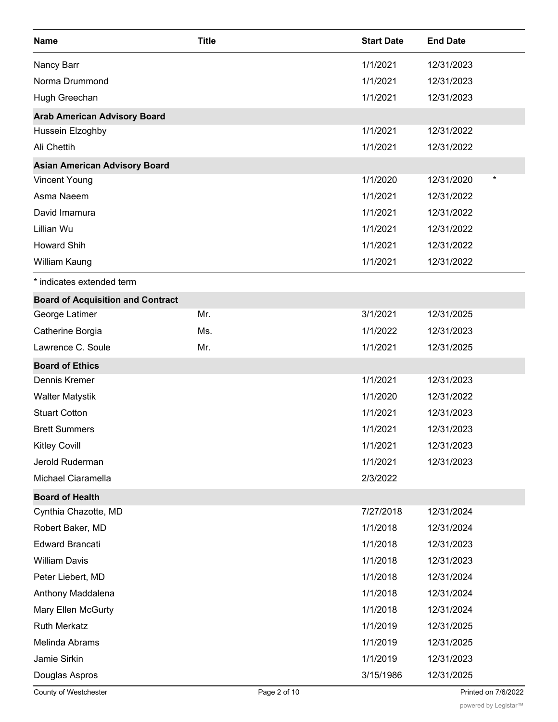| <b>Name</b>                              | <b>Title</b> | <b>Start Date</b> | <b>End Date</b>        |
|------------------------------------------|--------------|-------------------|------------------------|
| Nancy Barr                               |              | 1/1/2021          | 12/31/2023             |
| Norma Drummond                           |              | 1/1/2021          | 12/31/2023             |
| Hugh Greechan                            |              | 1/1/2021          | 12/31/2023             |
| <b>Arab American Advisory Board</b>      |              |                   |                        |
| Hussein Elzoghby                         |              | 1/1/2021          | 12/31/2022             |
| Ali Chettih                              |              | 1/1/2021          | 12/31/2022             |
| <b>Asian American Advisory Board</b>     |              |                   |                        |
| <b>Vincent Young</b>                     |              | 1/1/2020          | $^\star$<br>12/31/2020 |
| Asma Naeem                               |              | 1/1/2021          | 12/31/2022             |
| David Imamura                            |              | 1/1/2021          | 12/31/2022             |
| Lillian Wu                               |              | 1/1/2021          | 12/31/2022             |
| <b>Howard Shih</b>                       |              | 1/1/2021          | 12/31/2022             |
| William Kaung                            |              | 1/1/2021          | 12/31/2022             |
| * indicates extended term                |              |                   |                        |
| <b>Board of Acquisition and Contract</b> |              |                   |                        |
| George Latimer                           | Mr.          | 3/1/2021          | 12/31/2025             |
| Catherine Borgia                         | Ms.          | 1/1/2022          | 12/31/2023             |
| Lawrence C. Soule                        | Mr.          | 1/1/2021          | 12/31/2025             |
| <b>Board of Ethics</b>                   |              |                   |                        |
| Dennis Kremer                            |              | 1/1/2021          | 12/31/2023             |
| <b>Walter Matystik</b>                   |              | 1/1/2020          | 12/31/2022             |
| <b>Stuart Cotton</b>                     |              | 1/1/2021          | 12/31/2023             |
| <b>Brett Summers</b>                     |              | 1/1/2021          | 12/31/2023             |
| <b>Kitley Covill</b>                     |              | 1/1/2021          | 12/31/2023             |
| Jerold Ruderman                          |              | 1/1/2021          | 12/31/2023             |
| Michael Ciaramella                       |              | 2/3/2022          |                        |
| <b>Board of Health</b>                   |              |                   |                        |
| Cynthia Chazotte, MD                     |              | 7/27/2018         | 12/31/2024             |
| Robert Baker, MD                         |              | 1/1/2018          | 12/31/2024             |
| <b>Edward Brancati</b>                   |              | 1/1/2018          | 12/31/2023             |
| <b>William Davis</b>                     |              | 1/1/2018          | 12/31/2023             |
| Peter Liebert, MD                        |              | 1/1/2018          | 12/31/2024             |
| Anthony Maddalena                        |              | 1/1/2018          | 12/31/2024             |
| Mary Ellen McGurty                       |              | 1/1/2018          | 12/31/2024             |
| <b>Ruth Merkatz</b>                      |              | 1/1/2019          | 12/31/2025             |
| Melinda Abrams                           |              | 1/1/2019          | 12/31/2025             |
| Jamie Sirkin                             |              | 1/1/2019          | 12/31/2023             |
| Douglas Aspros                           |              | 3/15/1986         | 12/31/2025             |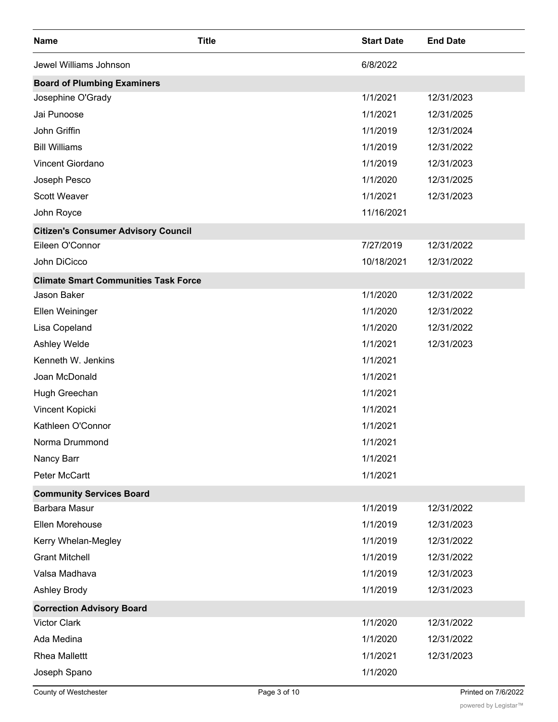| <b>Name</b>                                 | <b>Title</b> | <b>Start Date</b> | <b>End Date</b> |
|---------------------------------------------|--------------|-------------------|-----------------|
| Jewel Williams Johnson                      |              | 6/8/2022          |                 |
| <b>Board of Plumbing Examiners</b>          |              |                   |                 |
| Josephine O'Grady                           |              | 1/1/2021          | 12/31/2023      |
| Jai Punoose                                 |              | 1/1/2021          | 12/31/2025      |
| John Griffin                                |              | 1/1/2019          | 12/31/2024      |
| <b>Bill Williams</b>                        |              | 1/1/2019          | 12/31/2022      |
| Vincent Giordano                            |              | 1/1/2019          | 12/31/2023      |
| Joseph Pesco                                |              | 1/1/2020          | 12/31/2025      |
| Scott Weaver                                |              | 1/1/2021          | 12/31/2023      |
| John Royce                                  |              | 11/16/2021        |                 |
| <b>Citizen's Consumer Advisory Council</b>  |              |                   |                 |
| Eileen O'Connor                             |              | 7/27/2019         | 12/31/2022      |
| John DiCicco                                |              | 10/18/2021        | 12/31/2022      |
| <b>Climate Smart Communities Task Force</b> |              |                   |                 |
| Jason Baker                                 |              | 1/1/2020          | 12/31/2022      |
| Ellen Weininger                             |              | 1/1/2020          | 12/31/2022      |
| Lisa Copeland                               |              | 1/1/2020          | 12/31/2022      |
| Ashley Welde                                |              | 1/1/2021          | 12/31/2023      |
| Kenneth W. Jenkins                          |              | 1/1/2021          |                 |
| Joan McDonald                               |              | 1/1/2021          |                 |
| Hugh Greechan                               |              | 1/1/2021          |                 |
| Vincent Kopicki                             |              | 1/1/2021          |                 |
| Kathleen O'Connor                           |              | 1/1/2021          |                 |
| Norma Drummond                              |              | 1/1/2021          |                 |
| Nancy Barr                                  |              | 1/1/2021          |                 |
| Peter McCartt                               |              | 1/1/2021          |                 |
| <b>Community Services Board</b>             |              |                   |                 |
| <b>Barbara Masur</b>                        |              | 1/1/2019          | 12/31/2022      |
| Ellen Morehouse                             |              | 1/1/2019          | 12/31/2023      |
| Kerry Whelan-Megley                         |              | 1/1/2019          | 12/31/2022      |
| <b>Grant Mitchell</b>                       |              | 1/1/2019          | 12/31/2022      |
| Valsa Madhava                               |              | 1/1/2019          | 12/31/2023      |
| <b>Ashley Brody</b>                         |              | 1/1/2019          | 12/31/2023      |
| <b>Correction Advisory Board</b>            |              |                   |                 |
| <b>Victor Clark</b>                         |              | 1/1/2020          | 12/31/2022      |
| Ada Medina                                  |              | 1/1/2020          | 12/31/2022      |
| <b>Rhea Mallettt</b>                        |              | 1/1/2021          | 12/31/2023      |
| Joseph Spano                                |              | 1/1/2020          |                 |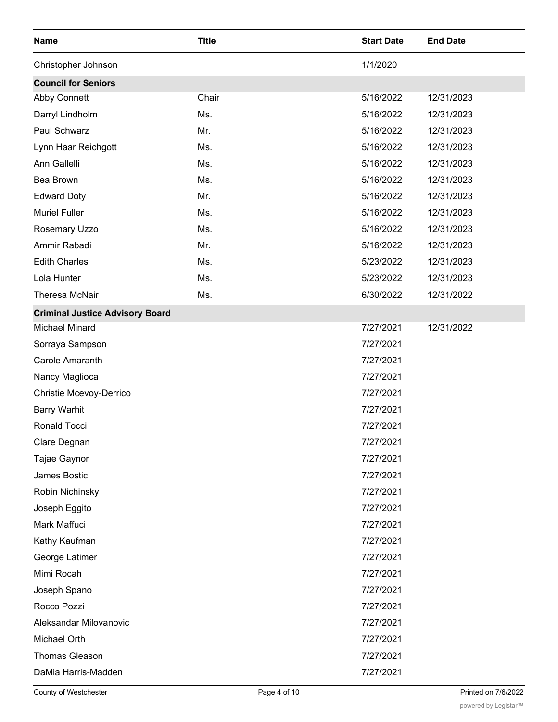| <b>Name</b>                            | <b>Title</b> | <b>Start Date</b> | <b>End Date</b> |
|----------------------------------------|--------------|-------------------|-----------------|
| Christopher Johnson                    |              | 1/1/2020          |                 |
| <b>Council for Seniors</b>             |              |                   |                 |
| Abby Connett                           | Chair        | 5/16/2022         | 12/31/2023      |
| Darryl Lindholm                        | Ms.          | 5/16/2022         | 12/31/2023      |
| Paul Schwarz                           | Mr.          | 5/16/2022         | 12/31/2023      |
| Lynn Haar Reichgott                    | Ms.          | 5/16/2022         | 12/31/2023      |
| Ann Gallelli                           | Ms.          | 5/16/2022         | 12/31/2023      |
| Bea Brown                              | Ms.          | 5/16/2022         | 12/31/2023      |
| <b>Edward Doty</b>                     | Mr.          | 5/16/2022         | 12/31/2023      |
| <b>Muriel Fuller</b>                   | Ms.          | 5/16/2022         | 12/31/2023      |
| Rosemary Uzzo                          | Ms.          | 5/16/2022         | 12/31/2023      |
| Ammir Rabadi                           | Mr.          | 5/16/2022         | 12/31/2023      |
| <b>Edith Charles</b>                   | Ms.          | 5/23/2022         | 12/31/2023      |
| Lola Hunter                            | Ms.          | 5/23/2022         | 12/31/2023      |
| Theresa McNair                         | Ms.          | 6/30/2022         | 12/31/2022      |
| <b>Criminal Justice Advisory Board</b> |              |                   |                 |
| <b>Michael Minard</b>                  |              | 7/27/2021         | 12/31/2022      |
| Sorraya Sampson                        |              | 7/27/2021         |                 |
| Carole Amaranth                        |              | 7/27/2021         |                 |
| Nancy Maglioca                         |              | 7/27/2021         |                 |
| Christie Mcevoy-Derrico                |              | 7/27/2021         |                 |
| <b>Barry Warhit</b>                    |              | 7/27/2021         |                 |
| Ronald Tocci                           |              | 7/27/2021         |                 |
| Clare Degnan                           |              | 7/27/2021         |                 |
| Tajae Gaynor                           |              | 7/27/2021         |                 |
| James Bostic                           |              | 7/27/2021         |                 |
| Robin Nichinsky                        |              | 7/27/2021         |                 |
| Joseph Eggito                          |              | 7/27/2021         |                 |
| Mark Maffuci                           |              | 7/27/2021         |                 |
| Kathy Kaufman                          |              | 7/27/2021         |                 |
| George Latimer                         |              | 7/27/2021         |                 |
| Mimi Rocah                             |              | 7/27/2021         |                 |
| Joseph Spano                           |              | 7/27/2021         |                 |
| Rocco Pozzi                            |              | 7/27/2021         |                 |
| Aleksandar Milovanovic                 |              | 7/27/2021         |                 |
| Michael Orth                           |              | 7/27/2021         |                 |
| <b>Thomas Gleason</b>                  |              | 7/27/2021         |                 |
| DaMia Harris-Madden                    |              | 7/27/2021         |                 |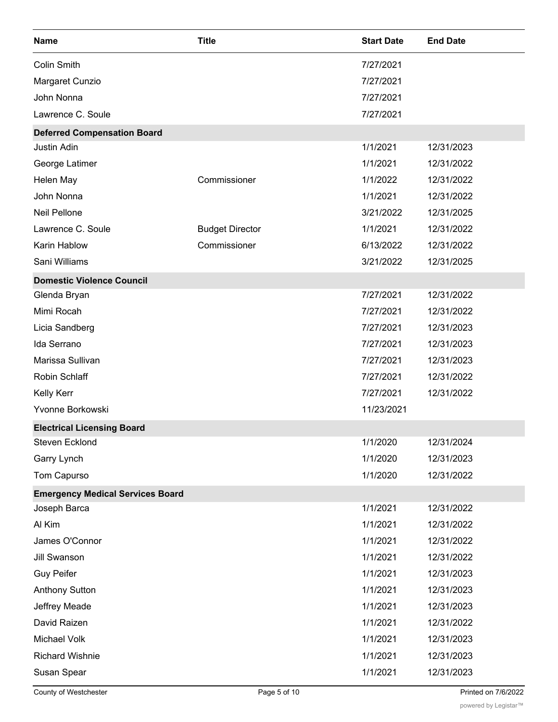| <b>Name</b>                             | <b>Title</b>           | <b>Start Date</b> | <b>End Date</b> |
|-----------------------------------------|------------------------|-------------------|-----------------|
| <b>Colin Smith</b>                      |                        | 7/27/2021         |                 |
| Margaret Cunzio                         |                        | 7/27/2021         |                 |
| John Nonna                              |                        | 7/27/2021         |                 |
| Lawrence C. Soule                       |                        | 7/27/2021         |                 |
| <b>Deferred Compensation Board</b>      |                        |                   |                 |
| Justin Adin                             |                        | 1/1/2021          | 12/31/2023      |
| George Latimer                          |                        | 1/1/2021          | 12/31/2022      |
| Helen May                               | Commissioner           | 1/1/2022          | 12/31/2022      |
| John Nonna                              |                        | 1/1/2021          | 12/31/2022      |
| Neil Pellone                            |                        | 3/21/2022         | 12/31/2025      |
| Lawrence C. Soule                       | <b>Budget Director</b> | 1/1/2021          | 12/31/2022      |
| Karin Hablow                            | Commissioner           | 6/13/2022         | 12/31/2022      |
| Sani Williams                           |                        | 3/21/2022         | 12/31/2025      |
| <b>Domestic Violence Council</b>        |                        |                   |                 |
| Glenda Bryan                            |                        | 7/27/2021         | 12/31/2022      |
| Mimi Rocah                              |                        | 7/27/2021         | 12/31/2022      |
| Licia Sandberg                          |                        | 7/27/2021         | 12/31/2023      |
| Ida Serrano                             |                        | 7/27/2021         | 12/31/2023      |
| Marissa Sullivan                        |                        | 7/27/2021         | 12/31/2023      |
| Robin Schlaff                           |                        | 7/27/2021         | 12/31/2022      |
| <b>Kelly Kerr</b>                       |                        | 7/27/2021         | 12/31/2022      |
| Yvonne Borkowski                        |                        | 11/23/2021        |                 |
| <b>Electrical Licensing Board</b>       |                        |                   |                 |
| Steven Ecklond                          |                        | 1/1/2020          | 12/31/2024      |
| Garry Lynch                             |                        | 1/1/2020          | 12/31/2023      |
| Tom Capurso                             |                        | 1/1/2020          | 12/31/2022      |
| <b>Emergency Medical Services Board</b> |                        |                   |                 |
| Joseph Barca                            |                        | 1/1/2021          | 12/31/2022      |
| Al Kim                                  |                        | 1/1/2021          | 12/31/2022      |
| James O'Connor                          |                        | 1/1/2021          | 12/31/2022      |
| <b>Jill Swanson</b>                     |                        | 1/1/2021          | 12/31/2022      |
| <b>Guy Peifer</b>                       |                        | 1/1/2021          | 12/31/2023      |
| <b>Anthony Sutton</b>                   |                        | 1/1/2021          | 12/31/2023      |
| Jeffrey Meade                           |                        | 1/1/2021          | 12/31/2023      |
| David Raizen                            |                        | 1/1/2021          | 12/31/2022      |
| Michael Volk                            |                        | 1/1/2021          | 12/31/2023      |
| <b>Richard Wishnie</b>                  |                        | 1/1/2021          | 12/31/2023      |
| Susan Spear                             |                        | 1/1/2021          | 12/31/2023      |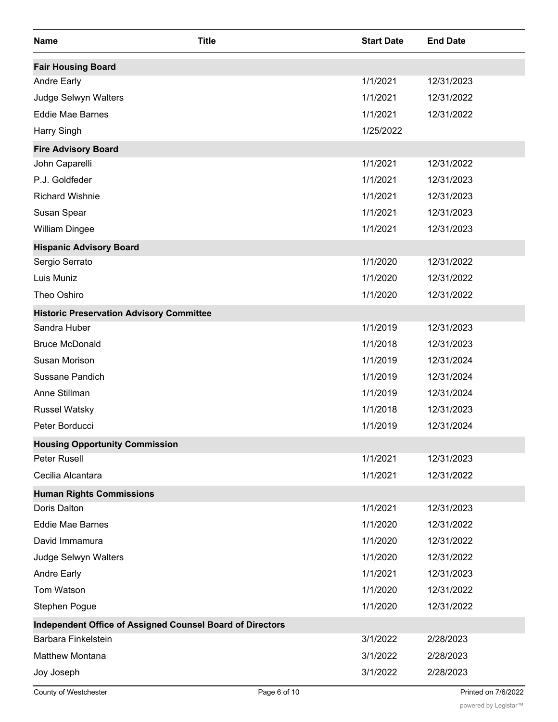| <b>Name</b>                                                      | <b>Title</b> | <b>Start Date</b> | <b>End Date</b> |
|------------------------------------------------------------------|--------------|-------------------|-----------------|
| <b>Fair Housing Board</b>                                        |              |                   |                 |
| <b>Andre Early</b>                                               |              | 1/1/2021          | 12/31/2023      |
| Judge Selwyn Walters                                             |              | 1/1/2021          | 12/31/2022      |
| <b>Eddie Mae Barnes</b>                                          |              | 1/1/2021          | 12/31/2022      |
| Harry Singh                                                      |              | 1/25/2022         |                 |
| <b>Fire Advisory Board</b>                                       |              |                   |                 |
| John Caparelli                                                   |              | 1/1/2021          | 12/31/2022      |
| P.J. Goldfeder                                                   |              | 1/1/2021          | 12/31/2023      |
| <b>Richard Wishnie</b>                                           |              | 1/1/2021          | 12/31/2023      |
| Susan Spear                                                      |              | 1/1/2021          | 12/31/2023      |
| <b>William Dingee</b>                                            |              | 1/1/2021          | 12/31/2023      |
| <b>Hispanic Advisory Board</b>                                   |              |                   |                 |
| Sergio Serrato                                                   |              | 1/1/2020          | 12/31/2022      |
| Luis Muniz                                                       |              | 1/1/2020          | 12/31/2022      |
| Theo Oshiro                                                      |              | 1/1/2020          | 12/31/2022      |
| <b>Historic Preservation Advisory Committee</b>                  |              |                   |                 |
| Sandra Huber                                                     |              | 1/1/2019          | 12/31/2023      |
| <b>Bruce McDonald</b>                                            |              | 1/1/2018          | 12/31/2023      |
| Susan Morison                                                    |              | 1/1/2019          | 12/31/2024      |
| Sussane Pandich                                                  |              | 1/1/2019          | 12/31/2024      |
| Anne Stillman                                                    |              | 1/1/2019          | 12/31/2024      |
| <b>Russel Watsky</b>                                             |              | 1/1/2018          | 12/31/2023      |
| Peter Borducci                                                   |              | 1/1/2019          | 12/31/2024      |
| <b>Housing Opportunity Commission</b>                            |              |                   |                 |
| Peter Rusell                                                     |              | 1/1/2021          | 12/31/2023      |
| Cecilia Alcantara                                                |              | 1/1/2021          | 12/31/2022      |
| <b>Human Rights Commissions</b>                                  |              |                   |                 |
| Doris Dalton                                                     |              | 1/1/2021          | 12/31/2023      |
| Eddie Mae Barnes                                                 |              | 1/1/2020          | 12/31/2022      |
| David Immamura                                                   |              | 1/1/2020          | 12/31/2022      |
| Judge Selwyn Walters                                             |              | 1/1/2020          | 12/31/2022      |
| <b>Andre Early</b>                                               |              | 1/1/2021          | 12/31/2023      |
| Tom Watson                                                       |              | 1/1/2020          | 12/31/2022      |
| Stephen Pogue                                                    |              | 1/1/2020          | 12/31/2022      |
| <b>Independent Office of Assigned Counsel Board of Directors</b> |              |                   |                 |
| Barbara Finkelstein                                              |              | 3/1/2022          | 2/28/2023       |
| <b>Matthew Montana</b>                                           |              | 3/1/2022          | 2/28/2023       |
| Joy Joseph                                                       |              | 3/1/2022          | 2/28/2023       |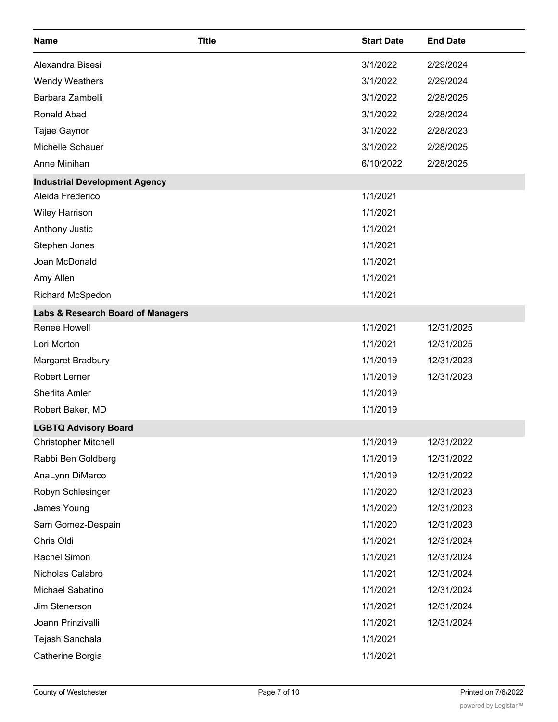| <b>Name</b>                          | <b>Title</b> | <b>Start Date</b> | <b>End Date</b> |
|--------------------------------------|--------------|-------------------|-----------------|
| Alexandra Bisesi                     |              | 3/1/2022          | 2/29/2024       |
| <b>Wendy Weathers</b>                |              | 3/1/2022          | 2/29/2024       |
| Barbara Zambelli                     |              | 3/1/2022          | 2/28/2025       |
| Ronald Abad                          |              | 3/1/2022          | 2/28/2024       |
| Tajae Gaynor                         |              | 3/1/2022          | 2/28/2023       |
| Michelle Schauer                     |              | 3/1/2022          | 2/28/2025       |
| Anne Minihan                         |              | 6/10/2022         | 2/28/2025       |
| <b>Industrial Development Agency</b> |              |                   |                 |
| Aleida Frederico                     |              | 1/1/2021          |                 |
| <b>Wiley Harrison</b>                |              | 1/1/2021          |                 |
| Anthony Justic                       |              | 1/1/2021          |                 |
| Stephen Jones                        |              | 1/1/2021          |                 |
| Joan McDonald                        |              | 1/1/2021          |                 |
| Amy Allen                            |              | 1/1/2021          |                 |
| Richard McSpedon                     |              | 1/1/2021          |                 |
| Labs & Research Board of Managers    |              |                   |                 |
| Renee Howell                         |              | 1/1/2021          | 12/31/2025      |
| Lori Morton                          |              | 1/1/2021          | 12/31/2025      |
| Margaret Bradbury                    |              | 1/1/2019          | 12/31/2023      |
| <b>Robert Lerner</b>                 |              | 1/1/2019          | 12/31/2023      |
| Sherlita Amler                       |              | 1/1/2019          |                 |
| Robert Baker, MD                     |              | 1/1/2019          |                 |
| <b>LGBTQ Advisory Board</b>          |              |                   |                 |
| <b>Christopher Mitchell</b>          |              | 1/1/2019          | 12/31/2022      |
| Rabbi Ben Goldberg                   |              | 1/1/2019          | 12/31/2022      |
| AnaLynn DiMarco                      |              | 1/1/2019          | 12/31/2022      |
| Robyn Schlesinger                    |              | 1/1/2020          | 12/31/2023      |
| James Young                          |              | 1/1/2020          | 12/31/2023      |
| Sam Gomez-Despain                    |              | 1/1/2020          | 12/31/2023      |
| Chris Oldi                           |              | 1/1/2021          | 12/31/2024      |
| Rachel Simon                         |              | 1/1/2021          | 12/31/2024      |
| Nicholas Calabro                     |              | 1/1/2021          | 12/31/2024      |
| Michael Sabatino                     |              | 1/1/2021          | 12/31/2024      |
| Jim Stenerson                        |              | 1/1/2021          | 12/31/2024      |
| Joann Prinzivalli                    |              | 1/1/2021          | 12/31/2024      |
| Tejash Sanchala                      |              | 1/1/2021          |                 |
| Catherine Borgia                     |              | 1/1/2021          |                 |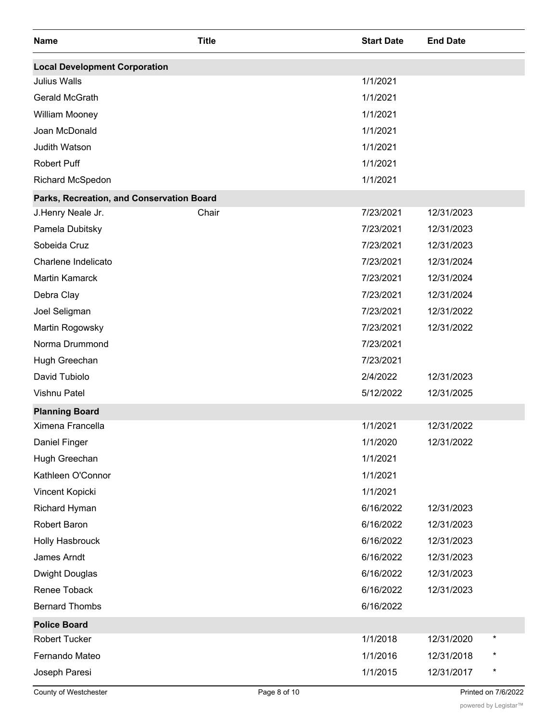| <b>Name</b>                               | <b>Title</b> | <b>Start Date</b> | <b>End Date</b> |          |
|-------------------------------------------|--------------|-------------------|-----------------|----------|
| <b>Local Development Corporation</b>      |              |                   |                 |          |
| <b>Julius Walls</b>                       |              | 1/1/2021          |                 |          |
| Gerald McGrath                            |              | 1/1/2021          |                 |          |
| William Mooney                            |              | 1/1/2021          |                 |          |
| Joan McDonald                             |              | 1/1/2021          |                 |          |
| Judith Watson                             |              | 1/1/2021          |                 |          |
| Robert Puff                               |              | 1/1/2021          |                 |          |
| Richard McSpedon                          |              | 1/1/2021          |                 |          |
| Parks, Recreation, and Conservation Board |              |                   |                 |          |
| J.Henry Neale Jr.                         | Chair        | 7/23/2021         | 12/31/2023      |          |
| Pamela Dubitsky                           |              | 7/23/2021         | 12/31/2023      |          |
| Sobeida Cruz                              |              | 7/23/2021         | 12/31/2023      |          |
| Charlene Indelicato                       |              | 7/23/2021         | 12/31/2024      |          |
| <b>Martin Kamarck</b>                     |              | 7/23/2021         | 12/31/2024      |          |
| Debra Clay                                |              | 7/23/2021         | 12/31/2024      |          |
| Joel Seligman                             |              | 7/23/2021         | 12/31/2022      |          |
| Martin Rogowsky                           |              | 7/23/2021         | 12/31/2022      |          |
| Norma Drummond                            |              | 7/23/2021         |                 |          |
| Hugh Greechan                             |              | 7/23/2021         |                 |          |
| David Tubiolo                             |              | 2/4/2022          | 12/31/2023      |          |
| <b>Vishnu Patel</b>                       |              | 5/12/2022         | 12/31/2025      |          |
| <b>Planning Board</b>                     |              |                   |                 |          |
| Ximena Francella                          |              | 1/1/2021          | 12/31/2022      |          |
| Daniel Finger                             |              | 1/1/2020          | 12/31/2022      |          |
| Hugh Greechan                             |              | 1/1/2021          |                 |          |
| Kathleen O'Connor                         |              | 1/1/2021          |                 |          |
| Vincent Kopicki                           |              | 1/1/2021          |                 |          |
| <b>Richard Hyman</b>                      |              | 6/16/2022         | 12/31/2023      |          |
| Robert Baron                              |              | 6/16/2022         | 12/31/2023      |          |
| Holly Hasbrouck                           |              | 6/16/2022         | 12/31/2023      |          |
| James Arndt                               |              | 6/16/2022         | 12/31/2023      |          |
| <b>Dwight Douglas</b>                     |              | 6/16/2022         | 12/31/2023      |          |
| Renee Toback                              |              | 6/16/2022         | 12/31/2023      |          |
| <b>Bernard Thombs</b>                     |              | 6/16/2022         |                 |          |
| <b>Police Board</b>                       |              |                   |                 |          |
| Robert Tucker                             |              | 1/1/2018          | 12/31/2020      | $^\star$ |
| Fernando Mateo                            |              | 1/1/2016          | 12/31/2018      |          |
| Joseph Paresi                             |              | 1/1/2015          | 12/31/2017      | $^\star$ |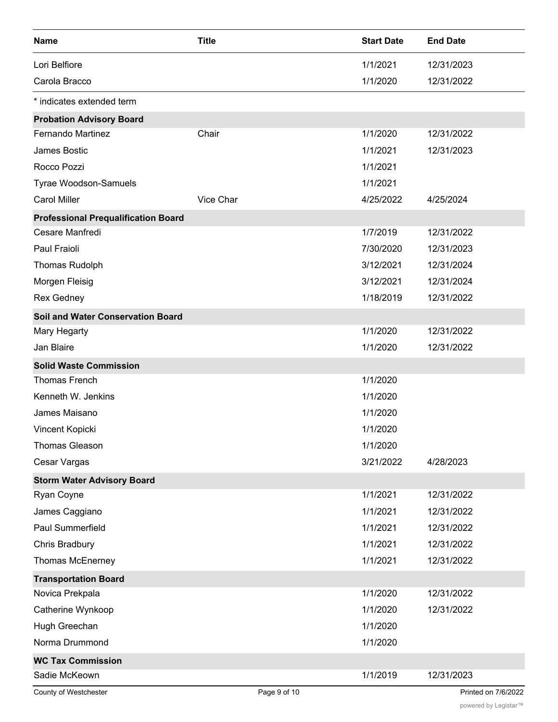| <b>Name</b>                                | <b>Title</b> | <b>Start Date</b> | <b>End Date</b>     |
|--------------------------------------------|--------------|-------------------|---------------------|
| Lori Belfiore                              |              | 1/1/2021          | 12/31/2023          |
| Carola Bracco                              |              | 1/1/2020          | 12/31/2022          |
| * indicates extended term                  |              |                   |                     |
| <b>Probation Advisory Board</b>            |              |                   |                     |
| Fernando Martinez                          | Chair        | 1/1/2020          | 12/31/2022          |
| James Bostic                               |              | 1/1/2021          | 12/31/2023          |
| Rocco Pozzi                                |              | 1/1/2021          |                     |
| Tyrae Woodson-Samuels                      |              | 1/1/2021          |                     |
| <b>Carol Miller</b>                        | Vice Char    | 4/25/2022         | 4/25/2024           |
| <b>Professional Prequalification Board</b> |              |                   |                     |
| Cesare Manfredi                            |              | 1/7/2019          | 12/31/2022          |
| Paul Fraioli                               |              | 7/30/2020         | 12/31/2023          |
| <b>Thomas Rudolph</b>                      |              | 3/12/2021         | 12/31/2024          |
| Morgen Fleisig                             |              | 3/12/2021         | 12/31/2024          |
| <b>Rex Gedney</b>                          |              | 1/18/2019         | 12/31/2022          |
| <b>Soil and Water Conservation Board</b>   |              |                   |                     |
| Mary Hegarty                               |              | 1/1/2020          | 12/31/2022          |
| Jan Blaire                                 |              | 1/1/2020          | 12/31/2022          |
| <b>Solid Waste Commission</b>              |              |                   |                     |
| <b>Thomas French</b>                       |              | 1/1/2020          |                     |
| Kenneth W. Jenkins                         |              | 1/1/2020          |                     |
| James Maisano                              |              | 1/1/2020          |                     |
| Vincent Kopicki                            |              | 1/1/2020          |                     |
| <b>Thomas Gleason</b>                      |              | 1/1/2020          |                     |
| Cesar Vargas                               |              | 3/21/2022         | 4/28/2023           |
| <b>Storm Water Advisory Board</b>          |              |                   |                     |
| Ryan Coyne                                 |              | 1/1/2021          | 12/31/2022          |
| James Caggiano                             |              | 1/1/2021          | 12/31/2022          |
| Paul Summerfield                           |              | 1/1/2021          | 12/31/2022          |
| Chris Bradbury                             |              | 1/1/2021          | 12/31/2022          |
| Thomas McEnerney                           |              | 1/1/2021          | 12/31/2022          |
| <b>Transportation Board</b>                |              |                   |                     |
| Novica Prekpala                            |              | 1/1/2020          | 12/31/2022          |
| Catherine Wynkoop                          |              | 1/1/2020          | 12/31/2022          |
| Hugh Greechan                              |              | 1/1/2020          |                     |
| Norma Drummond                             |              | 1/1/2020          |                     |
| <b>WC Tax Commission</b>                   |              |                   |                     |
| Sadie McKeown                              |              | 1/1/2019          | 12/31/2023          |
| County of Westchester                      | Page 9 of 10 |                   | Printed on 7/6/2022 |